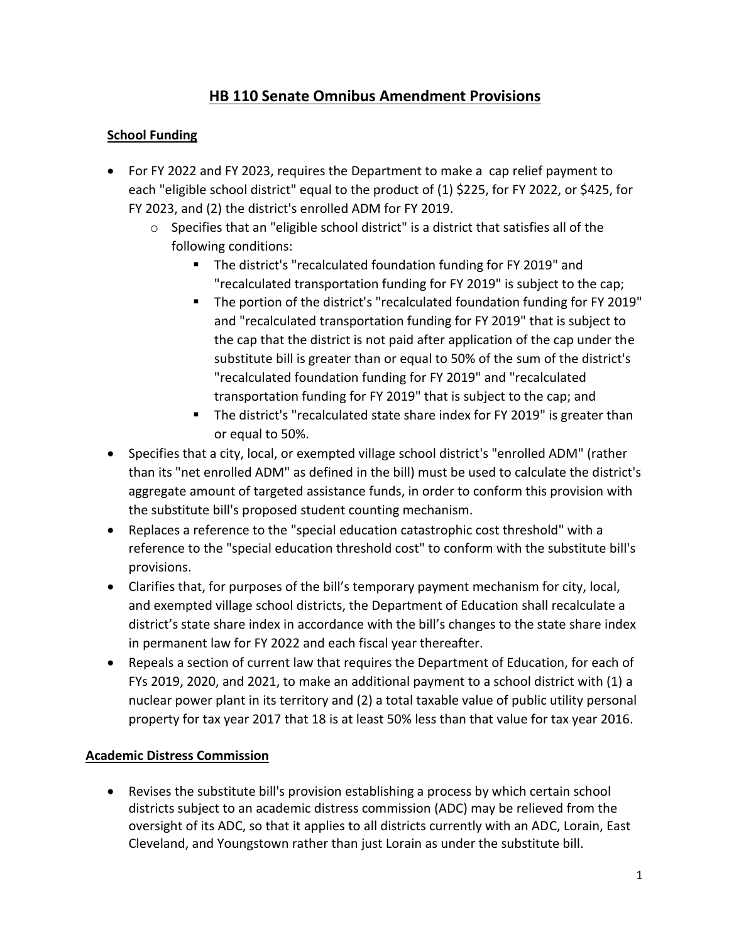# **HB 110 Senate Omnibus Amendment Provisions**

### **School Funding**

- For FY 2022 and FY 2023, requires the Department to make a cap relief payment to each "eligible school district" equal to the product of (1) \$225, for FY 2022, or \$425, for FY 2023, and (2) the district's enrolled ADM for FY 2019.
	- o Specifies that an "eligible school district" is a district that satisfies all of the following conditions:
		- The district's "recalculated foundation funding for FY 2019" and "recalculated transportation funding for FY 2019" is subject to the cap;
		- The portion of the district's "recalculated foundation funding for FY 2019" and "recalculated transportation funding for FY 2019" that is subject to the cap that the district is not paid after application of the cap under the substitute bill is greater than or equal to 50% of the sum of the district's "recalculated foundation funding for FY 2019" and "recalculated transportation funding for FY 2019" that is subject to the cap; and
		- The district's "recalculated state share index for FY 2019" is greater than or equal to 50%.
- Specifies that a city, local, or exempted village school district's "enrolled ADM" (rather than its "net enrolled ADM" as defined in the bill) must be used to calculate the district's aggregate amount of targeted assistance funds, in order to conform this provision with the substitute bill's proposed student counting mechanism.
- Replaces a reference to the "special education catastrophic cost threshold" with a reference to the "special education threshold cost" to conform with the substitute bill's provisions.
- Clarifies that, for purposes of the bill's temporary payment mechanism for city, local, and exempted village school districts, the Department of Education shall recalculate a district's state share index in accordance with the bill's changes to the state share index in permanent law for FY 2022 and each fiscal year thereafter.
- Repeals a section of current law that requires the Department of Education, for each of FYs 2019, 2020, and 2021, to make an additional payment to a school district with (1) a nuclear power plant in its territory and (2) a total taxable value of public utility personal property for tax year 2017 that 18 is at least 50% less than that value for tax year 2016.

# **Academic Distress Commission**

• Revises the substitute bill's provision establishing a process by which certain school districts subject to an academic distress commission (ADC) may be relieved from the oversight of its ADC, so that it applies to all districts currently with an ADC, Lorain, East Cleveland, and Youngstown rather than just Lorain as under the substitute bill.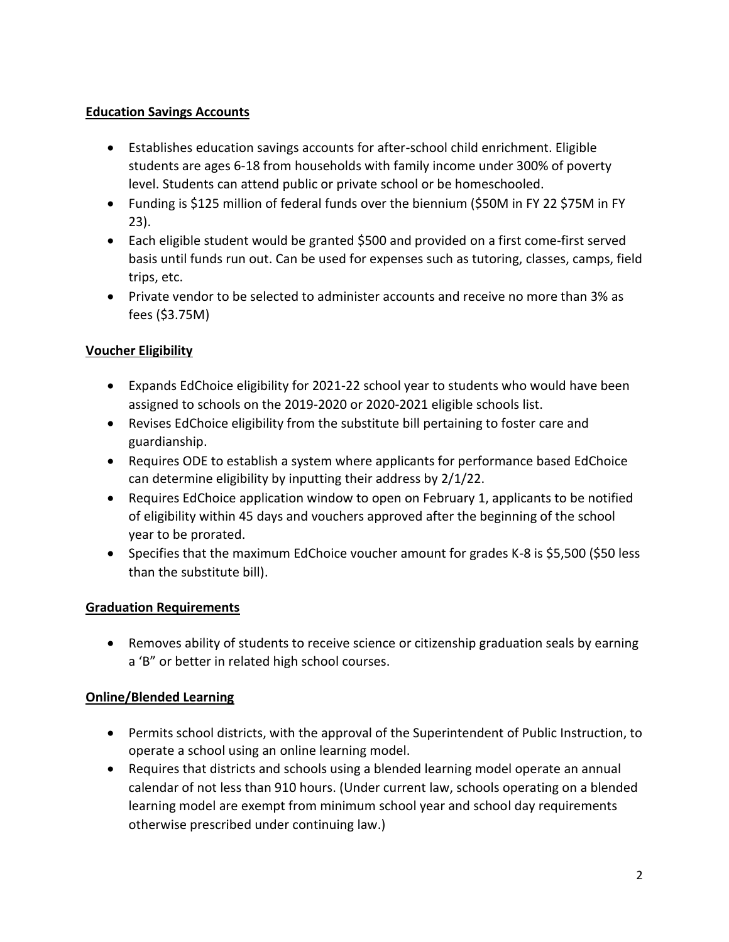#### **Education Savings Accounts**

- Establishes education savings accounts for after-school child enrichment. Eligible students are ages 6-18 from households with family income under 300% of poverty level. Students can attend public or private school or be homeschooled.
- Funding is \$125 million of federal funds over the biennium (\$50M in FY 22 \$75M in FY 23).
- Each eligible student would be granted \$500 and provided on a first come-first served basis until funds run out. Can be used for expenses such as tutoring, classes, camps, field trips, etc.
- Private vendor to be selected to administer accounts and receive no more than 3% as fees (\$3.75M)

# **Voucher Eligibility**

- Expands EdChoice eligibility for 2021-22 school year to students who would have been assigned to schools on the 2019-2020 or 2020-2021 eligible schools list.
- Revises EdChoice eligibility from the substitute bill pertaining to foster care and guardianship.
- Requires ODE to establish a system where applicants for performance based EdChoice can determine eligibility by inputting their address by 2/1/22.
- Requires EdChoice application window to open on February 1, applicants to be notified of eligibility within 45 days and vouchers approved after the beginning of the school year to be prorated.
- Specifies that the maximum EdChoice voucher amount for grades K-8 is \$5,500 (\$50 less than the substitute bill).

# **Graduation Requirements**

• Removes ability of students to receive science or citizenship graduation seals by earning a 'B" or better in related high school courses.

# **Online/Blended Learning**

- Permits school districts, with the approval of the Superintendent of Public Instruction, to operate a school using an online learning model.
- Requires that districts and schools using a blended learning model operate an annual calendar of not less than 910 hours. (Under current law, schools operating on a blended learning model are exempt from minimum school year and school day requirements otherwise prescribed under continuing law.)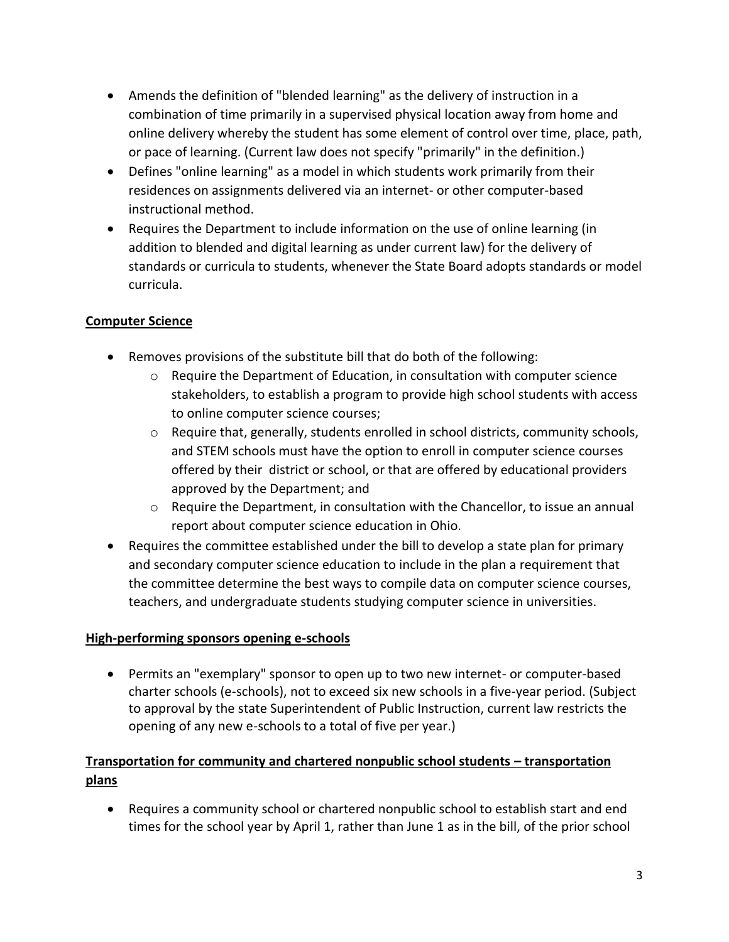- Amends the definition of "blended learning" as the delivery of instruction in a combination of time primarily in a supervised physical location away from home and online delivery whereby the student has some element of control over time, place, path, or pace of learning. (Current law does not specify "primarily" in the definition.)
- Defines "online learning" as a model in which students work primarily from their residences on assignments delivered via an internet- or other computer-based instructional method.
- Requires the Department to include information on the use of online learning (in addition to blended and digital learning as under current law) for the delivery of standards or curricula to students, whenever the State Board adopts standards or model curricula.

#### **Computer Science**

- Removes provisions of the substitute bill that do both of the following:
	- $\circ$  Require the Department of Education, in consultation with computer science stakeholders, to establish a program to provide high school students with access to online computer science courses;
	- $\circ$  Require that, generally, students enrolled in school districts, community schools, and STEM schools must have the option to enroll in computer science courses offered by their district or school, or that are offered by educational providers approved by the Department; and
	- $\circ$  Require the Department, in consultation with the Chancellor, to issue an annual report about computer science education in Ohio.
- Requires the committee established under the bill to develop a state plan for primary and secondary computer science education to include in the plan a requirement that the committee determine the best ways to compile data on computer science courses, teachers, and undergraduate students studying computer science in universities.

#### **High-performing sponsors opening e-schools**

• Permits an "exemplary" sponsor to open up to two new internet- or computer-based charter schools (e-schools), not to exceed six new schools in a five-year period. (Subject to approval by the state Superintendent of Public Instruction, current law restricts the opening of any new e-schools to a total of five per year.)

# **Transportation for community and chartered nonpublic school students – transportation plans**

• Requires a community school or chartered nonpublic school to establish start and end times for the school year by April 1, rather than June 1 as in the bill, of the prior school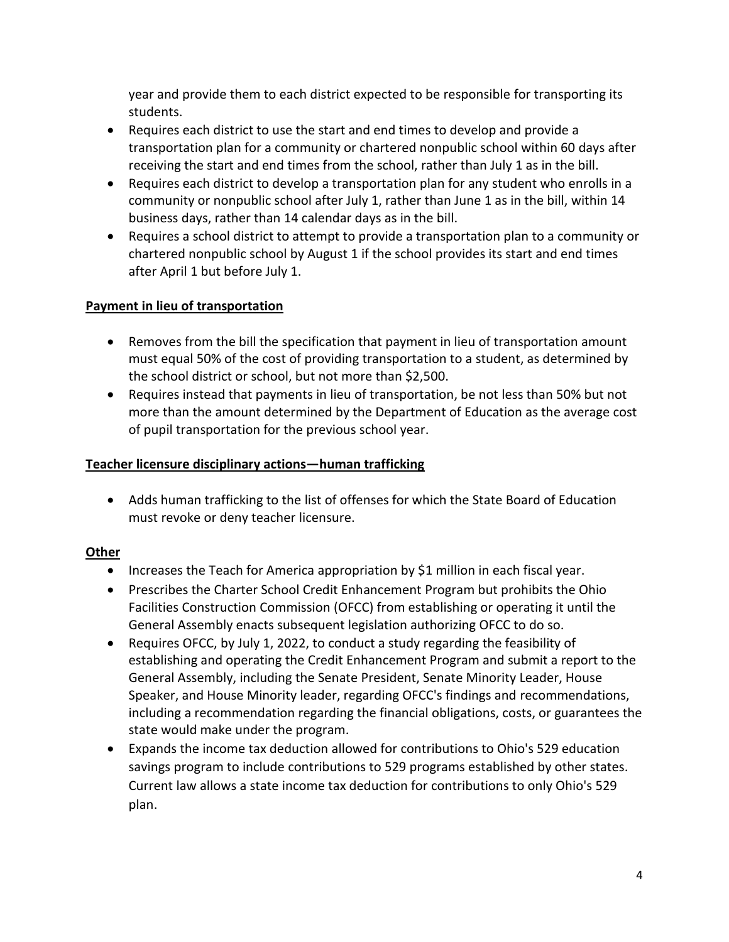year and provide them to each district expected to be responsible for transporting its students.

- Requires each district to use the start and end times to develop and provide a transportation plan for a community or chartered nonpublic school within 60 days after receiving the start and end times from the school, rather than July 1 as in the bill.
- Requires each district to develop a transportation plan for any student who enrolls in a community or nonpublic school after July 1, rather than June 1 as in the bill, within 14 business days, rather than 14 calendar days as in the bill.
- Requires a school district to attempt to provide a transportation plan to a community or chartered nonpublic school by August 1 if the school provides its start and end times after April 1 but before July 1.

#### **Payment in lieu of transportation**

- Removes from the bill the specification that payment in lieu of transportation amount must equal 50% of the cost of providing transportation to a student, as determined by the school district or school, but not more than \$2,500.
- Requires instead that payments in lieu of transportation, be not less than 50% but not more than the amount determined by the Department of Education as the average cost of pupil transportation for the previous school year.

#### **Teacher licensure disciplinary actions—human trafficking**

• Adds human trafficking to the list of offenses for which the State Board of Education must revoke or deny teacher licensure.

# **Other**

- Increases the Teach for America appropriation by \$1 million in each fiscal year.
- Prescribes the Charter School Credit Enhancement Program but prohibits the Ohio Facilities Construction Commission (OFCC) from establishing or operating it until the General Assembly enacts subsequent legislation authorizing OFCC to do so.
- Requires OFCC, by July 1, 2022, to conduct a study regarding the feasibility of establishing and operating the Credit Enhancement Program and submit a report to the General Assembly, including the Senate President, Senate Minority Leader, House Speaker, and House Minority leader, regarding OFCC's findings and recommendations, including a recommendation regarding the financial obligations, costs, or guarantees the state would make under the program.
- Expands the income tax deduction allowed for contributions to Ohio's 529 education savings program to include contributions to 529 programs established by other states. Current law allows a state income tax deduction for contributions to only Ohio's 529 plan.